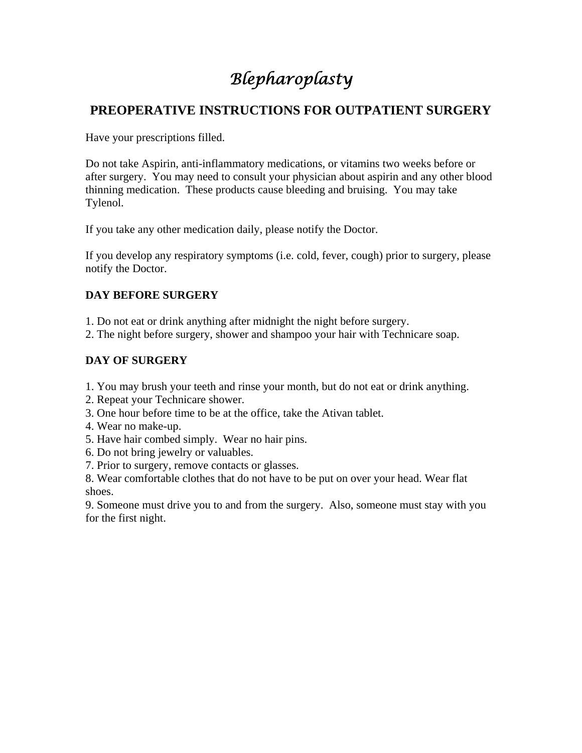# *Blepharoplasty*

### **PREOPERATIVE INSTRUCTIONS FOR OUTPATIENT SURGERY**

Have your prescriptions filled.

Do not take Aspirin, anti-inflammatory medications, or vitamins two weeks before or after surgery. You may need to consult your physician about aspirin and any other blood thinning medication. These products cause bleeding and bruising. You may take Tylenol.

If you take any other medication daily, please notify the Doctor.

If you develop any respiratory symptoms (i.e. cold, fever, cough) prior to surgery, please notify the Doctor.

#### **DAY BEFORE SURGERY**

1. Do not eat or drink anything after midnight the night before surgery.

2. The night before surgery, shower and shampoo your hair with Technicare soap.

#### **DAY OF SURGERY**

- 1. You may brush your teeth and rinse your month, but do not eat or drink anything.
- 2. Repeat your Technicare shower.
- 3. One hour before time to be at the office, take the Ativan tablet.
- 4. Wear no make-up.
- 5. Have hair combed simply. Wear no hair pins.
- 6. Do not bring jewelry or valuables.
- 7. Prior to surgery, remove contacts or glasses.

8. Wear comfortable clothes that do not have to be put on over your head. Wear flat shoes.

9. Someone must drive you to and from the surgery. Also, someone must stay with you for the first night.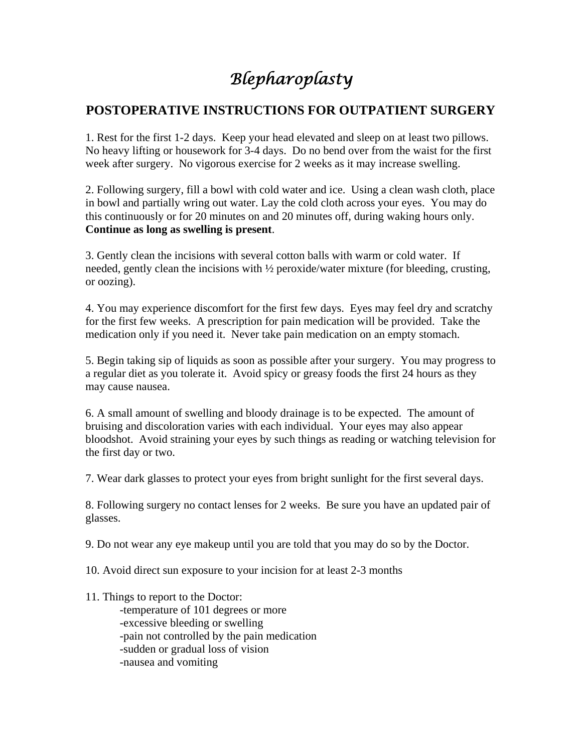## *Blepharoplasty*

### **POSTOPERATIVE INSTRUCTIONS FOR OUTPATIENT SURGERY**

1. Rest for the first 1-2 days. Keep your head elevated and sleep on at least two pillows. No heavy lifting or housework for 3-4 days. Do no bend over from the waist for the first week after surgery. No vigorous exercise for 2 weeks as it may increase swelling.

2. Following surgery, fill a bowl with cold water and ice. Using a clean wash cloth, place in bowl and partially wring out water. Lay the cold cloth across your eyes. You may do this continuously or for 20 minutes on and 20 minutes off, during waking hours only. **Continue as long as swelling is present**.

3. Gently clean the incisions with several cotton balls with warm or cold water. If needed, gently clean the incisions with ½ peroxide/water mixture (for bleeding, crusting, or oozing).

4. You may experience discomfort for the first few days. Eyes may feel dry and scratchy for the first few weeks. A prescription for pain medication will be provided. Take the medication only if you need it. Never take pain medication on an empty stomach.

5. Begin taking sip of liquids as soon as possible after your surgery. You may progress to a regular diet as you tolerate it. Avoid spicy or greasy foods the first 24 hours as they may cause nausea.

6. A small amount of swelling and bloody drainage is to be expected. The amount of bruising and discoloration varies with each individual. Your eyes may also appear bloodshot. Avoid straining your eyes by such things as reading or watching television for the first day or two.

7. Wear dark glasses to protect your eyes from bright sunlight for the first several days.

8. Following surgery no contact lenses for 2 weeks. Be sure you have an updated pair of glasses.

9. Do not wear any eye makeup until you are told that you may do so by the Doctor.

10. Avoid direct sun exposure to your incision for at least 2-3 months

11. Things to report to the Doctor:

 -temperature of 101 degrees or more -excessive bleeding or swelling -pain not controlled by the pain medication -sudden or gradual loss of vision -nausea and vomiting